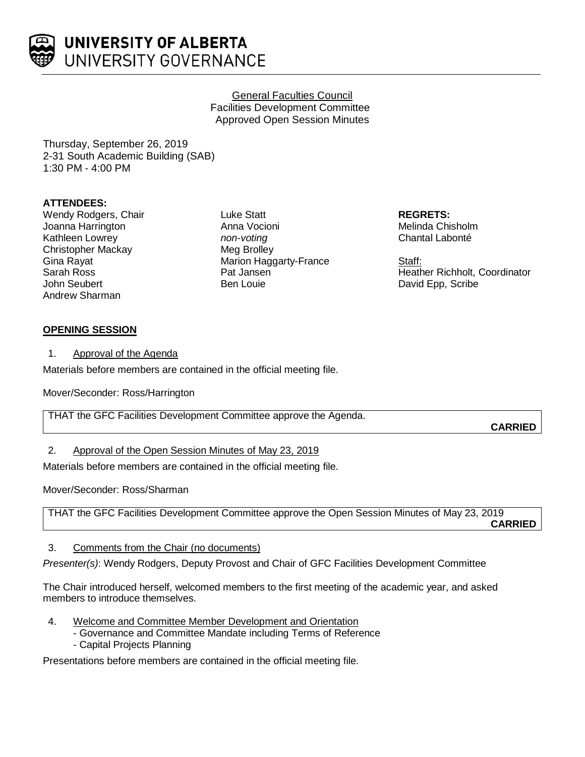

## General Faculties Council Facilities Development Committee Approved Open Session Minutes

Thursday, September 26, 2019 2-31 South Academic Building (SAB) 1:30 PM - 4:00 PM

# **ATTENDEES:**

Wendy Rodgers, Chair Joanna Harrington Kathleen Lowrey Christopher Mackay Gina Rayat Sarah Ross John Seubert Andrew Sharman

Luke Statt Anna Vocioni *non-voting* Meg Brolley Marion Haggarty-France Pat Jansen Ben Louie

**REGRETS:** Melinda Chisholm Chantal Labonté

Staff: Heather Richholt, Coordinator David Epp, Scribe

# **OPENING SESSION**

1. Approval of the Agenda

Materials before members are contained in the official meeting file.

Mover/Seconder: Ross/Harrington

THAT the GFC Facilities Development Committee approve the Agenda.

**CARRIED**

# 2. Approval of the Open Session Minutes of May 23, 2019

Materials before members are contained in the official meeting file.

Mover/Seconder: Ross/Sharman

THAT the GFC Facilities Development Committee approve the Open Session Minutes of May 23, 2019

**CARRIED**

3. Comments from the Chair (no documents)

*Presenter(s)*: Wendy Rodgers, Deputy Provost and Chair of GFC Facilities Development Committee

The Chair introduced herself, welcomed members to the first meeting of the academic year, and asked members to introduce themselves.

- 4. Welcome and Committee Member Development and Orientation
	- Governance and Committee Mandate including Terms of Reference
	- Capital Projects Planning

Presentations before members are contained in the official meeting file.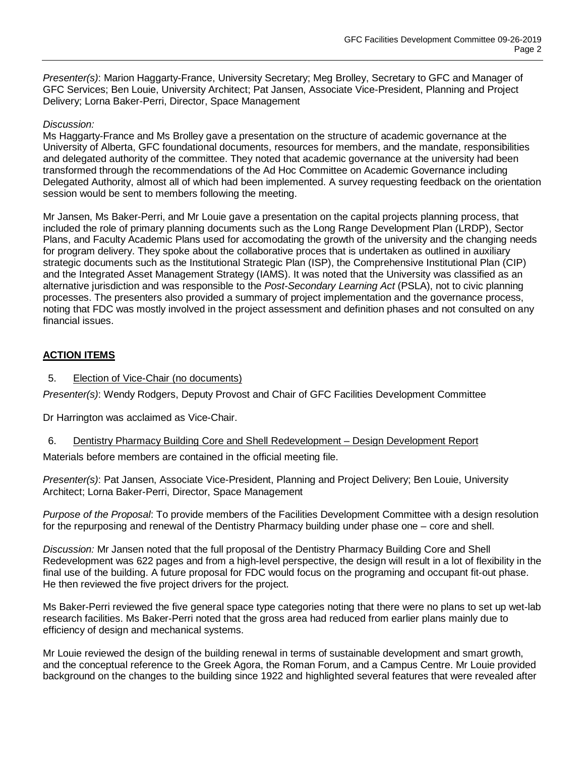*Presenter(s)*: Marion Haggarty-France, University Secretary; Meg Brolley, Secretary to GFC and Manager of GFC Services; Ben Louie, University Architect; Pat Jansen, Associate Vice-President, Planning and Project Delivery; Lorna Baker-Perri, Director, Space Management

#### *Discussion:*

Ms Haggarty-France and Ms Brolley gave a presentation on the structure of academic governance at the University of Alberta, GFC foundational documents, resources for members, and the mandate, responsibilities and delegated authority of the committee. They noted that academic governance at the university had been transformed through the recommendations of the Ad Hoc Committee on Academic Governance including Delegated Authority, almost all of which had been implemented. A survey requesting feedback on the orientation session would be sent to members following the meeting.

Mr Jansen, Ms Baker-Perri, and Mr Louie gave a presentation on the capital projects planning process, that included the role of primary planning documents such as the Long Range Development Plan (LRDP), Sector Plans, and Faculty Academic Plans used for accomodating the growth of the university and the changing needs for program delivery. They spoke about the collaborative proces that is undertaken as outlined in auxiliary strategic documents such as the Institutional Strategic Plan (ISP), the Comprehensive Institutional Plan (CIP) and the Integrated Asset Management Strategy (IAMS). It was noted that the University was classified as an alternative jurisdiction and was responsible to the *Post-Secondary Learning Act* (PSLA), not to civic planning processes. The presenters also provided a summary of project implementation and the governance process, noting that FDC was mostly involved in the project assessment and definition phases and not consulted on any financial issues.

# **ACTION ITEMS**

## 5. Election of Vice-Chair (no documents)

*Presenter(s)*: Wendy Rodgers, Deputy Provost and Chair of GFC Facilities Development Committee

Dr Harrington was acclaimed as Vice-Chair.

#### 6. Dentistry Pharmacy Building Core and Shell Redevelopment – Design Development Report

Materials before members are contained in the official meeting file.

*Presenter(s)*: Pat Jansen, Associate Vice-President, Planning and Project Delivery; Ben Louie, University Architect; Lorna Baker-Perri, Director, Space Management

*Purpose of the Proposal*: To provide members of the Facilities Development Committee with a design resolution for the repurposing and renewal of the Dentistry Pharmacy building under phase one – core and shell.

*Discussion:* Mr Jansen noted that the full proposal of the Dentistry Pharmacy Building Core and Shell Redevelopment was 622 pages and from a high-level perspective, the design will result in a lot of flexibility in the final use of the building. A future proposal for FDC would focus on the programing and occupant fit-out phase. He then reviewed the five project drivers for the project.

Ms Baker-Perri reviewed the five general space type categories noting that there were no plans to set up wet-lab research facilities. Ms Baker-Perri noted that the gross area had reduced from earlier plans mainly due to efficiency of design and mechanical systems.

Mr Louie reviewed the design of the building renewal in terms of sustainable development and smart growth, and the conceptual reference to the Greek Agora, the Roman Forum, and a Campus Centre. Mr Louie provided background on the changes to the building since 1922 and highlighted several features that were revealed after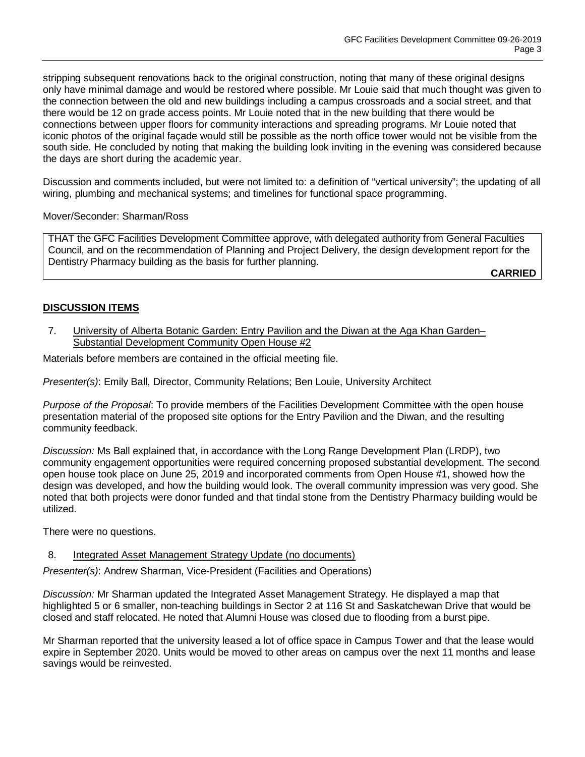stripping subsequent renovations back to the original construction, noting that many of these original designs only have minimal damage and would be restored where possible. Mr Louie said that much thought was given to the connection between the old and new buildings including a campus crossroads and a social street, and that there would be 12 on grade access points. Mr Louie noted that in the new building that there would be connections between upper floors for community interactions and spreading programs. Mr Louie noted that iconic photos of the original façade would still be possible as the north office tower would not be visible from the south side. He concluded by noting that making the building look inviting in the evening was considered because the days are short during the academic year.

Discussion and comments included, but were not limited to: a definition of "vertical university"; the updating of all wiring, plumbing and mechanical systems; and timelines for functional space programming.

Mover/Seconder: Sharman/Ross

THAT the GFC Facilities Development Committee approve, with delegated authority from General Faculties Council, and on the recommendation of Planning and Project Delivery, the design development report for the Dentistry Pharmacy building as the basis for further planning.

**CARRIED**

# **DISCUSSION ITEMS**

7. University of Alberta Botanic Garden: Entry Pavilion and the Diwan at the Aga Khan Garden-Substantial Development Community Open House #2

Materials before members are contained in the official meeting file.

*Presenter(s)*: Emily Ball, Director, Community Relations; Ben Louie, University Architect

*Purpose of the Proposal*: To provide members of the Facilities Development Committee with the open house presentation material of the proposed site options for the Entry Pavilion and the Diwan, and the resulting community feedback.

*Discussion:* Ms Ball explained that, in accordance with the Long Range Development Plan (LRDP), two community engagement opportunities were required concerning proposed substantial development. The second open house took place on June 25, 2019 and incorporated comments from Open House #1, showed how the design was developed, and how the building would look. The overall community impression was very good. She noted that both projects were donor funded and that tindal stone from the Dentistry Pharmacy building would be utilized.

There were no questions.

# 8. Integrated Asset Management Strategy Update (no documents)

*Presenter(s)*: Andrew Sharman, Vice-President (Facilities and Operations)

*Discussion:* Mr Sharman updated the Integrated Asset Management Strategy. He displayed a map that highlighted 5 or 6 smaller, non-teaching buildings in Sector 2 at 116 St and Saskatchewan Drive that would be closed and staff relocated. He noted that Alumni House was closed due to flooding from a burst pipe.

Mr Sharman reported that the university leased a lot of office space in Campus Tower and that the lease would expire in September 2020. Units would be moved to other areas on campus over the next 11 months and lease savings would be reinvested.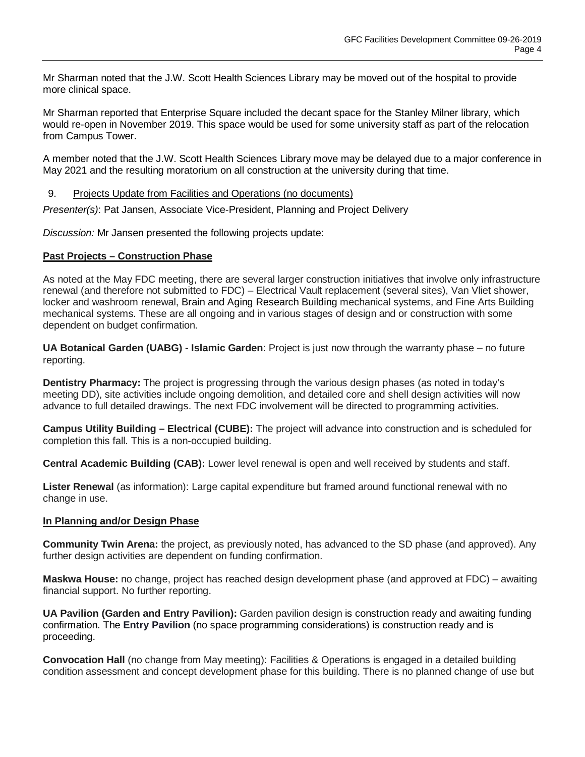Mr Sharman noted that the J.W. Scott Health Sciences Library may be moved out of the hospital to provide more clinical space.

Mr Sharman reported that Enterprise Square included the decant space for the Stanley Milner library, which would re-open in November 2019. This space would be used for some university staff as part of the relocation from Campus Tower.

A member noted that the J.W. Scott Health Sciences Library move may be delayed due to a major conference in May 2021 and the resulting moratorium on all construction at the university during that time.

#### 9. Projects Update from Facilities and Operations (no documents)

*Presenter(s)*: Pat Jansen, Associate Vice-President, Planning and Project Delivery

*Discussion:* Mr Jansen presented the following projects update:

#### **Past Projects – Construction Phase**

As noted at the May FDC meeting, there are several larger construction initiatives that involve only infrastructure renewal (and therefore not submitted to FDC) – Electrical Vault replacement (several sites), Van Vliet shower, locker and washroom renewal, Brain and Aging Research Building mechanical systems, and Fine Arts Building mechanical systems. These are all ongoing and in various stages of design and or construction with some dependent on budget confirmation.

**UA Botanical Garden (UABG) - Islamic Garden**: Project is just now through the warranty phase – no future reporting.

**Dentistry Pharmacy:** The project is progressing through the various design phases (as noted in today's meeting DD), site activities include ongoing demolition, and detailed core and shell design activities will now advance to full detailed drawings. The next FDC involvement will be directed to programming activities.

**Campus Utility Building – Electrical (CUBE):** The project will advance into construction and is scheduled for completion this fall. This is a non-occupied building.

**Central Academic Building (CAB):** Lower level renewal is open and well received by students and staff.

**Lister Renewal** (as information): Large capital expenditure but framed around functional renewal with no change in use.

#### **In Planning and/or Design Phase**

**Community Twin Arena:** the project, as previously noted, has advanced to the SD phase (and approved). Any further design activities are dependent on funding confirmation.

**Maskwa House:** no change, project has reached design development phase (and approved at FDC) – awaiting financial support. No further reporting.

**UA Pavilion (Garden and Entry Pavilion):** Garden pavilion design is construction ready and awaiting funding confirmation. The **Entry Pavilion** (no space programming considerations) is construction ready and is proceeding.

**Convocation Hall** (no change from May meeting): Facilities & Operations is engaged in a detailed building condition assessment and concept development phase for this building. There is no planned change of use but